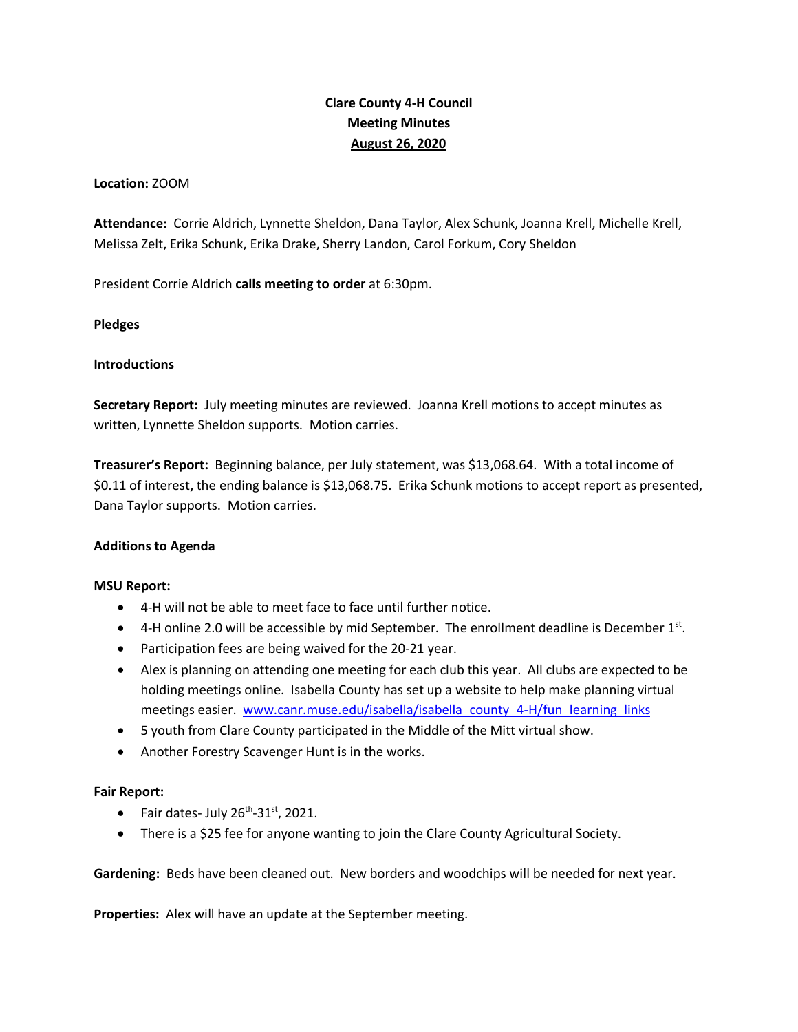# **Clare County 4-H Council Meeting Minutes August 26, 2020**

# **Location:** ZOOM

**Attendance:** Corrie Aldrich, Lynnette Sheldon, Dana Taylor, Alex Schunk, Joanna Krell, Michelle Krell, Melissa Zelt, Erika Schunk, Erika Drake, Sherry Landon, Carol Forkum, Cory Sheldon

President Corrie Aldrich **calls meeting to order** at 6:30pm.

## **Pledges**

## **Introductions**

**Secretary Report:** July meeting minutes are reviewed. Joanna Krell motions to accept minutes as written, Lynnette Sheldon supports. Motion carries.

**Treasurer's Report:** Beginning balance, per July statement, was \$13,068.64. With a total income of \$0.11 of interest, the ending balance is \$13,068.75. Erika Schunk motions to accept report as presented, Dana Taylor supports. Motion carries.

#### **Additions to Agenda**

#### **MSU Report:**

- 4-H will not be able to meet face to face until further notice.
- $\bullet$  4-H online 2.0 will be accessible by mid September. The enrollment deadline is December 1st.
- Participation fees are being waived for the 20-21 year.
- Alex is planning on attending one meeting for each club this year. All clubs are expected to be holding meetings online. Isabella County has set up a website to help make planning virtual meetings easier. [www.canr.muse.edu/isabella/isabella\\_county\\_4-H/fun\\_learning\\_links](http://www.canr.muse.edu/isabella/isabella_county_4-H/fun_learning_links)
- 5 youth from Clare County participated in the Middle of the Mitt virtual show.
- Another Forestry Scavenger Hunt is in the works.

#### **Fair Report:**

- Fair dates- July  $26^{th}$ -31st, 2021.
- There is a \$25 fee for anyone wanting to join the Clare County Agricultural Society.

**Gardening:** Beds have been cleaned out. New borders and woodchips will be needed for next year.

**Properties:** Alex will have an update at the September meeting.